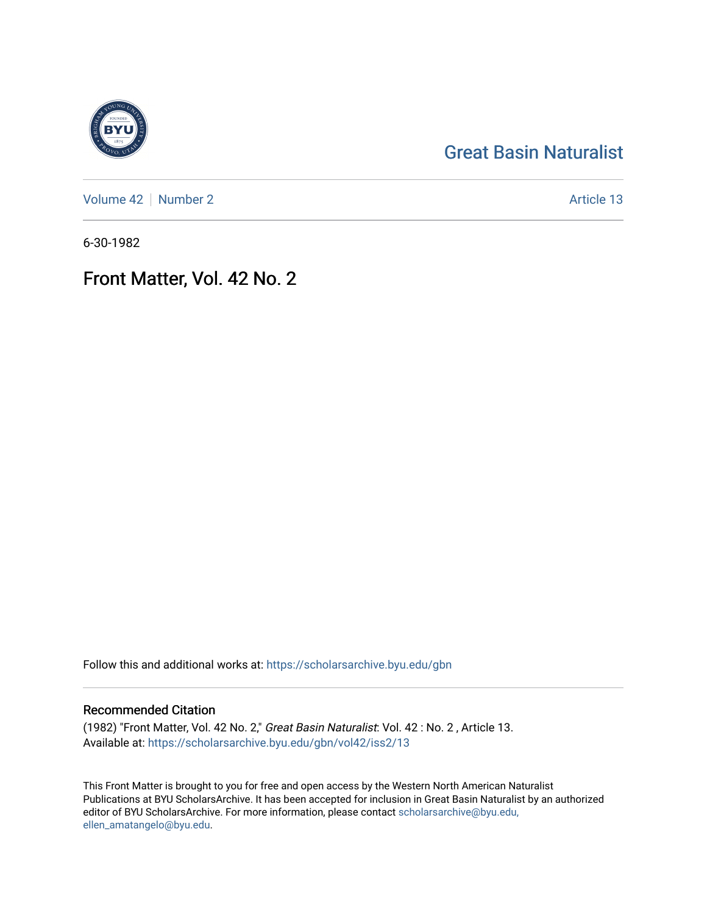## [Great Basin Naturalist](https://scholarsarchive.byu.edu/gbn)

[Volume 42](https://scholarsarchive.byu.edu/gbn/vol42) | [Number 2](https://scholarsarchive.byu.edu/gbn/vol42/iss2) Article 13

6-30-1982

## Front Matter, Vol. 42 No. 2

Follow this and additional works at: [https://scholarsarchive.byu.edu/gbn](https://scholarsarchive.byu.edu/gbn?utm_source=scholarsarchive.byu.edu%2Fgbn%2Fvol42%2Fiss2%2F13&utm_medium=PDF&utm_campaign=PDFCoverPages) 

## Recommended Citation

(1982) "Front Matter, Vol. 42 No. 2," Great Basin Naturalist: Vol. 42 : No. 2 , Article 13. Available at: [https://scholarsarchive.byu.edu/gbn/vol42/iss2/13](https://scholarsarchive.byu.edu/gbn/vol42/iss2/13?utm_source=scholarsarchive.byu.edu%2Fgbn%2Fvol42%2Fiss2%2F13&utm_medium=PDF&utm_campaign=PDFCoverPages) 

This Front Matter is brought to you for free and open access by the Western North American Naturalist Publications at BYU ScholarsArchive. It has been accepted for inclusion in Great Basin Naturalist by an authorized editor of BYU ScholarsArchive. For more information, please contact [scholarsarchive@byu.edu,](mailto:scholarsarchive@byu.edu,%20ellen_amatangelo@byu.edu) [ellen\\_amatangelo@byu.edu](mailto:scholarsarchive@byu.edu,%20ellen_amatangelo@byu.edu).

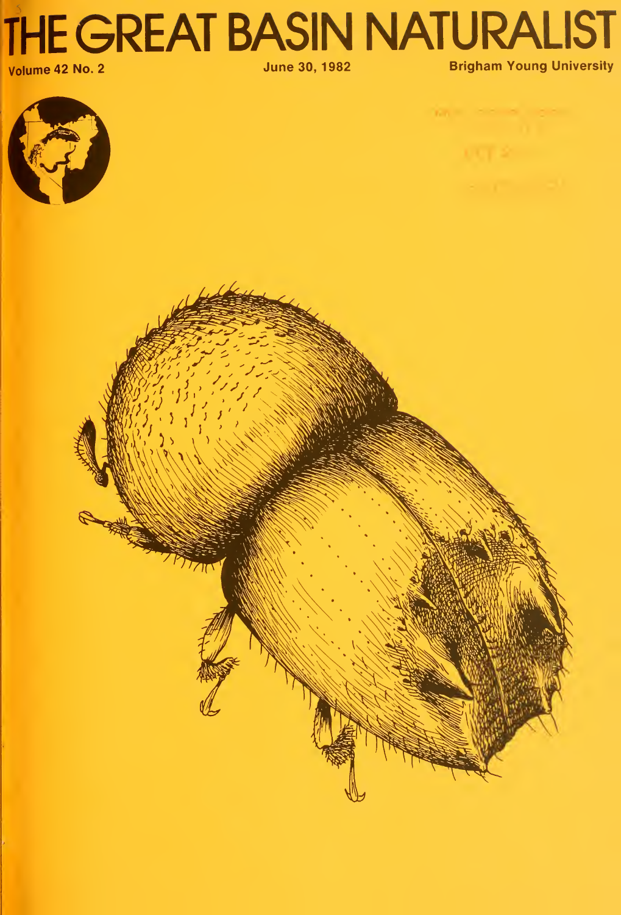